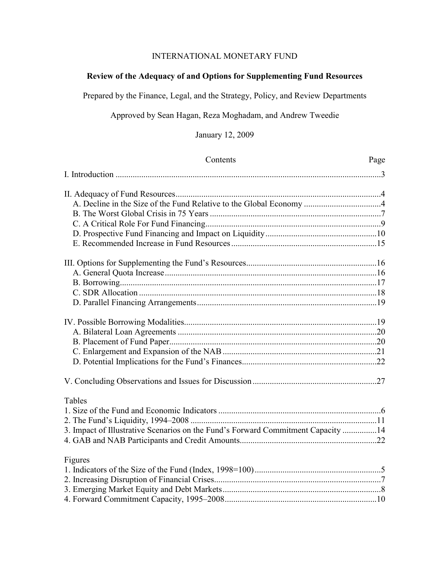# INTERNATIONAL MONETARY FUND

## **Review of the Adequacy of and Options for Supplementing Fund Resources**

Prepared by the Finance, Legal, and the Strategy, Policy, and Review Departments

Approved by Sean Hagan, Reza Moghadam, and Andrew Tweedie

January 12, 2009

| Contents                                                                         | Page |
|----------------------------------------------------------------------------------|------|
|                                                                                  |      |
|                                                                                  |      |
|                                                                                  |      |
|                                                                                  |      |
|                                                                                  |      |
|                                                                                  |      |
|                                                                                  |      |
|                                                                                  |      |
|                                                                                  |      |
|                                                                                  |      |
|                                                                                  |      |
|                                                                                  |      |
|                                                                                  |      |
|                                                                                  |      |
|                                                                                  |      |
|                                                                                  |      |
|                                                                                  |      |
|                                                                                  |      |
| <b>Tables</b>                                                                    |      |
|                                                                                  |      |
|                                                                                  |      |
| 3. Impact of Illustrative Scenarios on the Fund's Forward Commitment Capacity 14 |      |
|                                                                                  |      |
| Figures                                                                          |      |
|                                                                                  |      |
|                                                                                  |      |
|                                                                                  |      |
|                                                                                  |      |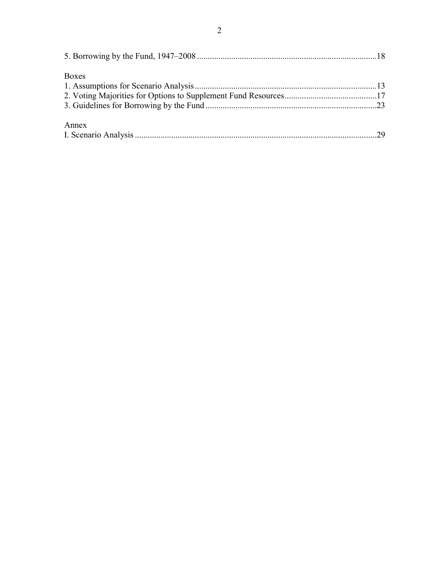| Boxes |  |
|-------|--|
|       |  |
|       |  |
|       |  |
| Annex |  |
|       |  |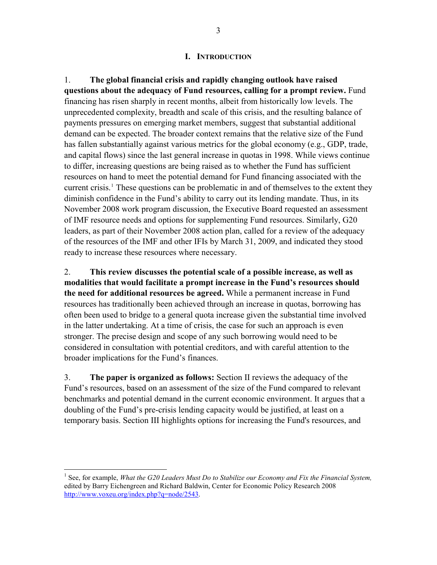#### **I. INTRODUCTION**

<span id="page-2-0"></span>1. **The global financial crisis and rapidly changing outlook have raised questions about the adequacy of Fund resources, calling for a prompt review.** Fund financing has risen sharply in recent months, albeit from historically low levels. The unprecedented complexity, breadth and scale of this crisis, and the resulting balance of payments pressures on emerging market members, suggest that substantial additional demand can be expected. The broader context remains that the relative size of the Fund has fallen substantially against various metrics for the global economy (e.g., GDP, trade, and capital flows) since the last general increase in quotas in 1998. While views continue to differ, increasing questions are being raised as to whether the Fund has sufficient resources on hand to meet the potential demand for Fund financing associated with the current crisis.<sup>[1](#page-2-1)</sup> These questions can be problematic in and of themselves to the extent they diminish confidence in the Fund's ability to carry out its lending mandate. Thus, in its November 2008 work program discussion, the Executive Board requested an assessment of IMF resource needs and options for supplementing Fund resources. Similarly, G20 leaders, as part of their November 2008 action plan, called for a review of the adequacy of the resources of the IMF and other IFIs by March 31, 2009, and indicated they stood ready to increase these resources where necessary.

2. **This review discusses the potential scale of a possible increase, as well as modalities that would facilitate a prompt increase in the Fund's resources should the need for additional resources be agreed.** While a permanent increase in Fund resources has traditionally been achieved through an increase in quotas, borrowing has often been used to bridge to a general quota increase given the substantial time involved in the latter undertaking. At a time of crisis, the case for such an approach is even stronger. The precise design and scope of any such borrowing would need to be considered in consultation with potential creditors, and with careful attention to the broader implications for the Fund's finances.

3. **The paper is organized as follows:** Section II reviews the adequacy of the Fund's resources, based on an assessment of the size of the Fund compared to relevant benchmarks and potential demand in the current economic environment. It argues that a doubling of the Fund's pre-crisis lending capacity would be justified, at least on a temporary basis. Section III highlights options for increasing the Fund's resources, and

1

<span id="page-2-1"></span><sup>&</sup>lt;sup>1</sup> See, for example, *What the G20 Leaders Must Do to Stabilize our Economy and Fix the Financial System,* edited by Barry Eichengreen and Richard Baldwin, Center for Economic Policy Research 2008 <http://www.voxeu.org/index.php?q=node/2543>.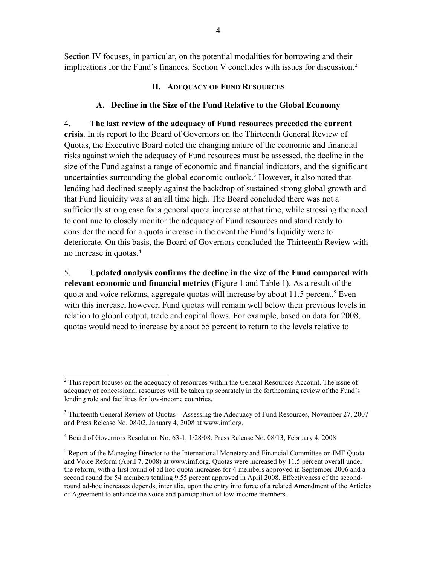<span id="page-3-0"></span>Section IV focuses, in particular, on the potential modalities for borrowing and their implications for the Fund's finances. Section V concludes with issues for discussion.<sup>2</sup>

## **II. ADEQUACY OF FUND RESOURCES**

## **A. Decline in the Size of the Fund Relative to the Global Economy**

4. **The last review of the adequacy of Fund resources preceded the current crisis**. In its report to the Board of Governors on the Thirteenth General Review of Quotas, the Executive Board noted the changing nature of the economic and financial risks against which the adequacy of Fund resources must be assessed, the decline in the size of the Fund against a range of economic and financial indicators, and the significant uncertainties surrounding the global economic outlook.<sup>[3](#page-3-1)</sup> However, it also noted that lending had declined steeply against the backdrop of sustained strong global growth and that Fund liquidity was at an all time high. The Board concluded there was not a sufficiently strong case for a general quota increase at that time, while stressing the need to continue to closely monitor the adequacy of Fund resources and stand ready to consider the need for a quota increase in the event the Fund's liquidity were to deteriorate. On this basis, the Board of Governors concluded the Thirteenth Review with no increase in quotas.<sup>[4](#page-3-2)</sup>

5. **Updated analysis confirms the decline in the size of the Fund compared with relevant economic and financial metrics** (Figure 1 and Table 1). As a result of the quota and voice reforms, aggregate quotas will increase by about 11.[5](#page-3-3) percent.<sup>5</sup> Even with this increase, however, Fund quotas will remain well below their previous levels in relation to global output, trade and capital flows. For example, based on data for 2008, quotas would need to increase by about 55 percent to return to the levels relative to

<sup>1</sup>  $2^2$  This report focuses on the adequacy of resources within the General Resources Account. The issue of adequacy of concessional resources will be taken up separately in the forthcoming review of the Fund's lending role and facilities for low-income countries.

<span id="page-3-1"></span><sup>&</sup>lt;sup>3</sup> Thirteenth General Review of Quotas—Assessing the Adequacy of Fund Resources, November 27, 2007 and Press Release No. 08/02, January 4, 2008 at www.imf.org.

<span id="page-3-2"></span><sup>&</sup>lt;sup>4</sup> Board of Governors Resolution No. 63-1, 1/28/08. Press Release No. 08/13, February 4, 2008

<span id="page-3-3"></span><sup>&</sup>lt;sup>5</sup> Report of the Managing Director to the International Monetary and Financial Committee on IMF Quota and Voice Reform (April 7, 2008) at www.imf.org. Quotas were increased by 11.5 percent overall under the reform, with a first round of ad hoc quota increases for 4 members approved in September 2006 and a second round for 54 members totaling 9.55 percent approved in April 2008. Effectiveness of the secondround ad-hoc increases depends, inter alia, upon the entry into force of a related Amendment of the Articles of Agreement to enhance the voice and participation of low-income members.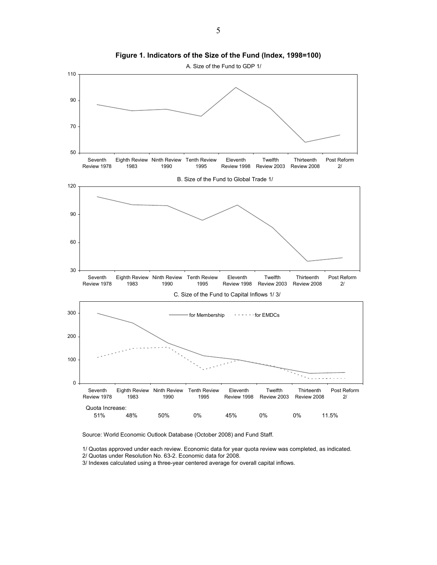<span id="page-4-0"></span>

**Figure 1. Indicators of the Size of the Fund (Index, 1998=100)** 

Source: World Economic Outlook Database (October 2008) and Fund Staff.

1/ Quotas approved under each review. Economic data for year quota review was completed, as indicated.

2/ Quotas under Resolution No. 63-2. Economic data for 2008.

3/ Indexes calculated using a three-year centered average for overall capital inflows.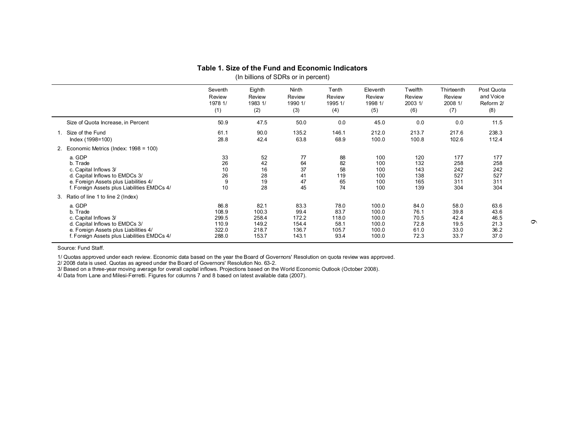#### **Table 1. Size of the Fund and Economic Indicators**

(In billions of SDRs or in percent)

|                                             | Seventh | Eighth  | Ninth   | Tenth   | Eleventh | Twelfth | Thirteenth | Post Quota |
|---------------------------------------------|---------|---------|---------|---------|----------|---------|------------|------------|
|                                             | Review  | Review  | Review  | Review  | Review   | Review  | Review     | and Voice  |
|                                             | 1978 1/ | 1983 1/ | 1990 1/ | 1995 1/ | 1998 1/  | 2003 1/ | 2008 1/    | Reform 2/  |
|                                             | (1)     | (2)     | (3)     | (4)     | (5)      | (6)     | (7)        | (8)        |
| Size of Quota Increase, in Percent          | 50.9    | 47.5    | 50.0    | 0.0     | 45.0     | 0.0     | 0.0        | 11.5       |
| Size of the Fund                            | 61.1    | 90.0    | 135.2   | 146.1   | 212.0    | 213.7   | 217.6      | 238.3      |
| Index (1998=100)                            | 28.8    | 42.4    | 63.8    | 68.9    | 100.0    | 100.8   | 102.6      | 112.4      |
| Economic Metrics (Index: 1998 = 100)<br>2.  |         |         |         |         |          |         |            |            |
| a. GDP                                      | 33      | 52      | 77      | 88      | 100      | 120     | 177        | 177        |
| b. Trade                                    | 26      | 42      | 64      | 82      | 100      | 132     | 258        | 258        |
| c. Capital Inflows 3/                       | 10      | 16      | 37      | 58      | 100      | 143     | 242        | 242        |
| d. Capital Inflows to EMDCs 3/              | 26      | 28      | 41      | 119     | 100      | 138     | 527        | 527        |
| e. Foreign Assets plus Liabilities 4/       | 9       | 19      | 47      | 65      | 100      | 165     | 311        | 311        |
| f. Foreign Assets plus Liabilities EMDCs 4/ | 10      | 28      | 45      | 74      | 100      | 139     | 304        | 304        |
| Ratio of line 1 to line 2 (Index)<br>3.     |         |         |         |         |          |         |            |            |
| a. GDP                                      | 86.8    | 82.1    | 83.3    | 78.0    | 100.0    | 84.0    | 58.0       | 63.6       |
| b. Trade                                    | 108.9   | 100.3   | 99.4    | 83.7    | 100.0    | 76.1    | 39.8       | 43.6       |
| c. Capital Inflows 3/                       | 299.5   | 258.4   | 172.2   | 118.0   | 100.0    | 70.5    | 42.4       | 46.5       |
| d. Capital Inflows to EMDCs 3/              | 110.9   | 149.2   | 154.4   | 58.1    | 100.0    | 72.8    | 19.5       | 21.3       |
| e. Foreign Assets plus Liabilities 4/       | 322.0   | 218.7   | 136.7   | 105.7   | 100.0    | 61.0    | 33.0       | 36.2       |
| f. Foreign Assets plus Liabilities EMDCs 4/ | 288.0   | 153.7   | 143.1   | 93.4    | 100.0    | 72.3    | 33.7       | 37.0       |

Source: Fund Staff.

1/ Quotas approved under each review. Economic data based on the year the Board of Governors' Resolution on quota review was approved.

2/ 2008 data is used. Quotas as agreed under the Board of Governors' Resolution No. 63-2.

3/ Based on a three-year moving average for overall capital inflows. Projections based on the World Economic Outlook (October 2008).

<span id="page-5-0"></span>4/ Data from Lane and Milesi-Ferretti. Figures for columns 7 and 8 based on latest available data (2007).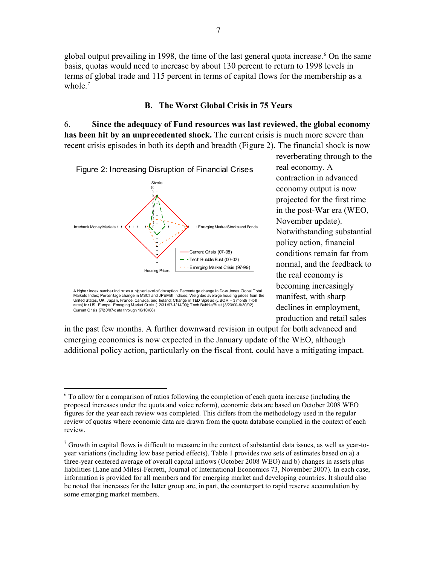<span id="page-6-0"></span>global output prevailing in 1998, the time of the last general quota increase.<sup>[6](#page-6-1)</sup> On the same basis, quotas would need to increase by about 130 percent to return to 1998 levels in terms of global trade and 115 percent in terms of capital flows for the membership as a whole.<sup>[7](#page-6-2)</sup>

#### **B. The Worst Global Crisis in 75 Years**

6. **Since the adequacy of Fund resources was last reviewed, the global economy has been hit by an unprecedented shock.** The current crisis is much more severe than recent crisis episodes in both its depth and breadth (Figure 2). The financial shock is now



A higher index number indicates a higher level of disruption. Percentage change in Dow Jones Global Total Markets Index; Percentage change in MSCI and JPEMBI Indices; Weighted average housing prices from the United States, UK, Japan, France, Canada, and Ireland; Change in TED Spread (LIBOR – 3 month T-bill rates) for US, Europe. Emerging Market Crisis (12/31/97-1/14/99); Tech Bubble/Bust (3/23/00-9/30/02); Current Crisis (7/20/07-data through 10/10/08)

1

contraction in advanced projected for the first time Notwithstanding substantial normal, and the feedback to manifest, with sharp reverberating through to the real economy. A economy output is now in the post-War era (WEO, November update). policy action, financial conditions remain far from the real economy is becoming increasingly declines in employment, production and retail sales

additional policy action, particularly on the fiscal front, could have a mitigating impact. in the past few months. A further downward revision in output for both advanced and emerging economies is now expected in the January update of the WEO, although

<span id="page-6-1"></span><sup>&</sup>lt;sup>6</sup> To allow for a comparison of ratios following the completion of each quota increase (including the proposed increases under the quota and voice reform), economic data are based on October 2008 WEO figures for the year each review was completed. This differs from the methodology used in the regular review of quotas where economic data are drawn from the quota database complied in the context of each review.

<span id="page-6-2"></span> $<sup>7</sup>$  Growth in capital flows is difficult to measure in the context of substantial data issues, as well as year-to-</sup> year variations (including low base period effects). Table 1 provides two sets of estimates based on a) a three-year centered average of overall capital inflows (October 2008 WEO) and b) changes in assets plus liabilities (Lane and Milesi-Ferretti, Journal of International Economics 73, November 2007). In each case, information is provided for all members and for emerging market and developing countries. It should also be noted that increases for the latter group are, in part, the counterpart to rapid reserve accumulation by some emerging market members.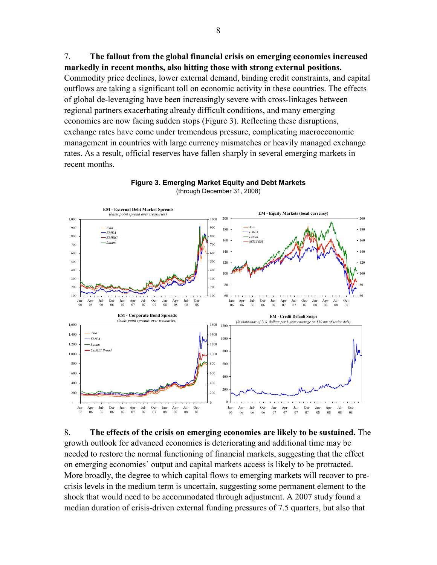<span id="page-7-0"></span>7. **The fallout from the global financial crisis on emerging economies increased markedly in recent months, also hitting those with strong external positions.** 

Commodity price declines, lower external demand, binding credit constraints, and capital outflows are taking a significant toll on economic activity in these countries. The effects of global de-leveraging have been increasingly severe with cross-linkages between regional partners exacerbating already difficult conditions, and many emerging economies are now facing sudden stops (Figure 3). Reflecting these disruptions, exchange rates have come under tremendous pressure, complicating macroeconomic management in countries with large currency mismatches or heavily managed exchange rates. As a result, official reserves have fallen sharply in several emerging markets in recent months.



#### **Figure 3. Emerging Market Equity and Debt Markets** (through December 31, 2008)

8. **The effects of the crisis on emerging economies are likely to be sustained.** The growth outlook for advanced economies is deteriorating and additional time may be needed to restore the normal functioning of financial markets, suggesting that the effect on emerging economies' output and capital markets access is likely to be protracted. More broadly, the degree to which capital flows to emerging markets will recover to precrisis levels in the medium term is uncertain, suggesting some permanent element to the shock that would need to be accommodated through adjustment. A 2007 study found a median duration of crisis-driven external funding pressures of 7.5 quarters, but also that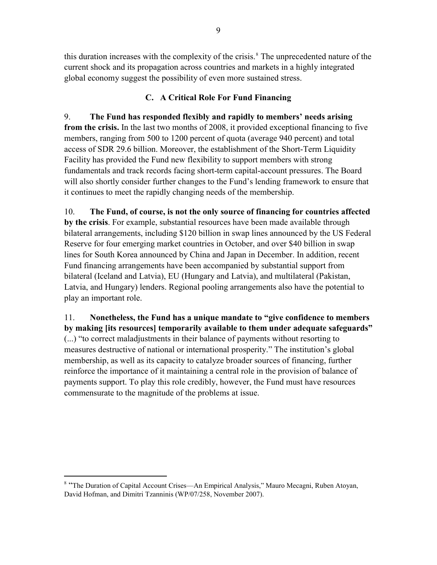<span id="page-8-0"></span>this duration increases with the complexity of the crisis.<sup>8</sup> The unprecedented nature of the current shock and its propagation across countries and markets in a highly integrated global economy suggest the possibility of even more sustained stress.

# **C. A Critical Role For Fund Financing**

9. **The Fund has responded flexibly and rapidly to members' needs arising from the crisis.** In the last two months of 2008, it provided exceptional financing to five members, ranging from 500 to 1200 percent of quota (average 940 percent) and total access of SDR 29.6 billion. Moreover, the establishment of the Short-Term Liquidity Facility has provided the Fund new flexibility to support members with strong fundamentals and track records facing short-term capital-account pressures. The Board will also shortly consider further changes to the Fund's lending framework to ensure that it continues to meet the rapidly changing needs of the membership.

10. **The Fund, of course, is not the only source of financing for countries affected by the crisis**. For example, substantial resources have been made available through bilateral arrangements, including \$120 billion in swap lines announced by the US Federal Reserve for four emerging market countries in October, and over \$40 billion in swap lines for South Korea announced by China and Japan in December. In addition, recent Fund financing arrangements have been accompanied by substantial support from bilateral (Iceland and Latvia), EU (Hungary and Latvia), and multilateral (Pakistan, Latvia, and Hungary) lenders. Regional pooling arrangements also have the potential to play an important role.

11. **Nonetheless, the Fund has a unique mandate to "give confidence to members by making [its resources] temporarily available to them under adequate safeguards"** (...) "to correct maladjustments in their balance of payments without resorting to measures destructive of national or international prosperity." The institution's global membership, as well as its capacity to catalyze broader sources of financing, further reinforce the importance of it maintaining a central role in the provision of balance of payments support. To play this role credibly, however, the Fund must have resources commensurate to the magnitude of the problems at issue.

 $\overline{a}$ 

<sup>&</sup>lt;sup>8</sup> "The Duration of Capital Account Crises—An Empirical Analysis," Mauro Mecagni, Ruben Atoyan, David Hofman, and Dimitri Tzanninis (WP/07/258, November 2007).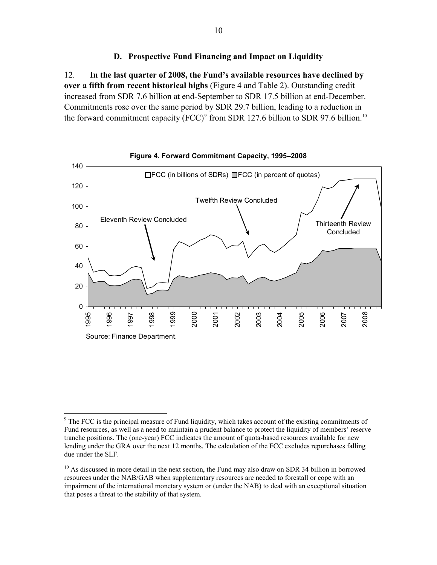### **D. Prospective Fund Financing and Impact on Liquidity**

<span id="page-9-0"></span>12. **In the last quarter of 2008, the Fund's available resources have declined by over a fifth from recent historical highs** (Figure 4 and Table 2). Outstanding credit increased from SDR 7.6 billion at end-September to SDR 17.5 billion at end-December. Commitments rose over the same period by SDR 29.7 billion, leading to a reduction in the forward commitment capacity (FCC)<sup>[9](#page-9-0)</sup> from SDR 127.6 billion to SDR 97.6 billion.<sup>[10](#page-9-0)</sup>



 $\overline{a}$ <sup>9</sup> The FCC is the principal measure of Fund liquidity, which takes account of the existing commitments of Fund resources, as well as a need to maintain a prudent balance to protect the liquidity of members' reserve tranche positions. The (one-year) FCC indicates the amount of quota-based resources available for new lending under the GRA over the next 12 months. The calculation of the FCC excludes repurchases falling due under the SLF.

 $10$  As discussed in more detail in the next section, the Fund may also draw on SDR 34 billion in borrowed resources under the NAB/GAB when supplementary resources are needed to forestall or cope with an impairment of the international monetary system or (under the NAB) to deal with an exceptional situation that poses a threat to the stability of that system.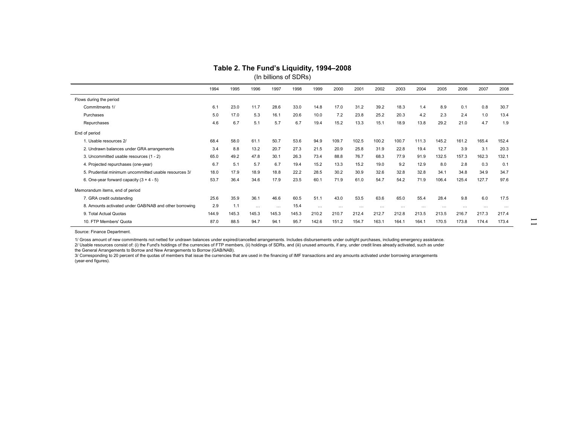| (In billions of SDRs)                                  |       |       |          |          |       |          |          |          |          |          |          |          |          |          |          |
|--------------------------------------------------------|-------|-------|----------|----------|-------|----------|----------|----------|----------|----------|----------|----------|----------|----------|----------|
|                                                        | 1994  | 1995  | 1996     | 1997     | 1998  | 1999     | 2000     | 2001     | 2002     | 2003     | 2004     | 2005     | 2006     | 2007     | 2008     |
| Flows during the period                                |       |       |          |          |       |          |          |          |          |          |          |          |          |          |          |
| Commitments 1/                                         | 6.1   | 23.0  | 11.7     | 28.6     | 33.0  | 14.8     | 17.0     | 31.2     | 39.2     | 18.3     | 1.4      | 8.9      | 0.1      | 0.8      | 30.7     |
| Purchases                                              | 5.0   | 17.0  | 5.3      | 16.1     | 20.6  | 10.0     | 7.2      | 23.8     | 25.2     | 20.3     | 4.2      | 2.3      | 2.4      | 1.0      | 13.4     |
| Repurchases                                            | 4.6   | 6.7   | 5.1      | 5.7      | 6.7   | 19.4     | 15.2     | 13.3     | 15.1     | 18.9     | 13.8     | 29.2     | 21.0     | 4.7      | 1.9      |
| End of period                                          |       |       |          |          |       |          |          |          |          |          |          |          |          |          |          |
| 1. Usable resources 2/                                 | 68.4  | 58.0  | 61.1     | 50.7     | 53.6  | 94.9     | 109.7    | 102.5    | 100.2    | 100.7    | 111.3    | 145.2    | 161.2    | 165.4    | 152.4    |
| 2. Undrawn balances under GRA arrangements             | 3.4   | 8.8   | 13.2     | 20.7     | 27.3  | 21.5     | 20.9     | 25.8     | 31.9     | 22.8     | 19.4     | 12.7     | 3.9      | 3.1      | 20.3     |
| 3. Uncommitted usable resources (1 - 2)                | 65.0  | 49.2  | 47.8     | 30.1     | 26.3  | 73.4     | 88.8     | 76.7     | 68.3     | 77.9     | 91.9     | 132.5    | 157.3    | 162.3    | 132.1    |
| 4. Projected repurchases (one-year)                    | 6.7   | 5.1   | 5.7      | 6.7      | 19.4  | 15.2     | 13.3     | 15.2     | 19.0     | 9.2      | 12.9     | 8.0      | 2.8      | 0.3      | 0.1      |
| 5. Prudential minimum uncommitted usable resources 3/  | 18.0  | 17.9  | 18.9     | 18.8     | 22.2  | 28.5     | 30.2     | 30.9     | 32.6     | 32.8     | 32.8     | 34.1     | 34.8     | 34.9     | 34.7     |
| 6. One-year forward capacity $(3 + 4 - 5)$             | 53.7  | 36.4  | 34.6     | 17.9     | 23.5  | 60.1     | 71.9     | 61.0     | 54.7     | 54.2     | 71.9     | 106.4    | 125.4    | 127.7    | 97.6     |
| Memorandum items, end of period                        |       |       |          |          |       |          |          |          |          |          |          |          |          |          |          |
| 7. GRA credit outstanding                              | 25.6  | 35.9  | 36.1     | 46.6     | 60.5  | 51.1     | 43.0     | 53.5     | 63.6     | 65.0     | 55.4     | 28.4     | 9.8      | 6.0      | 17.5     |
| 8. Amounts activated under GAB/NAB and other borrowing | 2.9   | 1.1   | $\cdots$ | $\cdots$ | 15.4  | $\cdots$ | $\cdots$ | $\cdots$ | $\cdots$ | $\cdots$ | $\cdots$ | $\cdots$ | $\cdots$ | $\cdots$ | $\cdots$ |
| 9. Total Actual Quotas                                 | 144.9 | 145.3 | 145.3    | 145.3    | 145.3 | 210.2    | 210.7    | 212.4    | 212.7    | 212.8    | 213.5    | 213.5    | 216.7    | 217.3    | 217.4    |
| 10. FTP Members' Quota                                 | 87.0  | 88.5  | 94.7     | 94.1     | 95.7  | 142.6    | 151.2    | 154.7    | 163.1    | 164.1    | 164.1    | 170.5    | 173.8    | 174.4    | 173.4    |

# **Table 2. The Fund's Liquidity, 1994–2008**

Source: Finance Department.

1/ Gross amount of new commitments not netted for undrawn balances under expired/cancelled arrangements. Includes disbursements under outright purchases, including emergency assistance. 2/ Usable resources consist of: (i) the Fund's holdings of the currencies of FTP members, (ii) holdings of SDRs, and (iii) unused amounts, if any, under credit lines already activated, such as under the General Arrangements to Borrow and New Arrangements to Borrow (GAB/NAB).

<span id="page-10-0"></span>3/ Corresponding to 20 percent of the quotas of members that issue the currencies that are used in the financing of IMF transactions and any amounts activated under borrowing arrangements (year-end figures).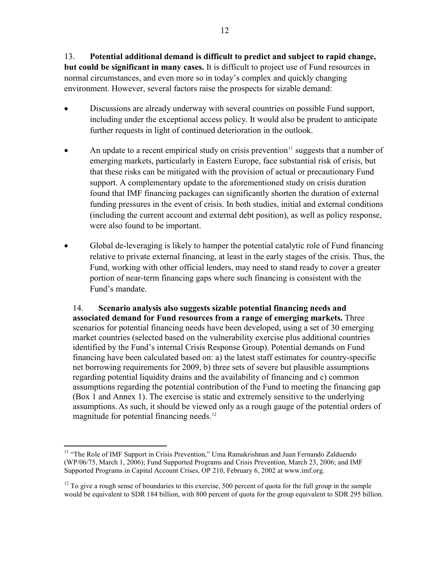<span id="page-11-0"></span>13. **Potential additional demand is difficult to predict and subject to rapid change, but could be significant in many cases.** It is difficult to project use of Fund resources in normal circumstances, and even more so in today's complex and quickly changing environment. However, several factors raise the prospects for sizable demand:

- Discussions are already underway with several countries on possible Fund support, including under the exceptional access policy. It would also be prudent to anticipate further requests in light of continued deterioration in the outlook.
- An update to a recent empirical study on crisis prevention<sup>[11](#page-11-0)</sup> suggests that a number of emerging markets, particularly in Eastern Europe, face substantial risk of crisis, but that these risks can be mitigated with the provision of actual or precautionary Fund support. A complementary update to the aforementioned study on crisis duration found that IMF financing packages can significantly shorten the duration of external funding pressures in the event of crisis. In both studies, initial and external conditions (including the current account and external debt position), as well as policy response, were also found to be important.
- Global de-leveraging is likely to hamper the potential catalytic role of Fund financing relative to private external financing, at least in the early stages of the crisis. Thus, the Fund, working with other official lenders, may need to stand ready to cover a greater portion of near-term financing gaps where such financing is consistent with the Fund's mandate.

14. **Scenario analysis also suggests sizable potential financing needs and associated demand for Fund resources from a range of emerging markets.** Three scenarios for potential financing needs have been developed, using a set of 30 emerging market countries (selected based on the vulnerability exercise plus additional countries identified by the Fund's internal Crisis Response Group). Potential demands on Fund financing have been calculated based on: a) the latest staff estimates for country-specific net borrowing requirements for 2009, b) three sets of severe but plausible assumptions regarding potential liquidity drains and the availability of financing and c) common assumptions regarding the potential contribution of the Fund to meeting the financing gap (Box 1 and Annex 1). The exercise is static and extremely sensitive to the underlying assumptions.As such, it should be viewed only as a rough gauge of the potential orders of magnitude for potential financing needs.<sup>[12](#page-11-0)</sup>

 $\overline{a}$ 

<sup>&</sup>lt;sup>11</sup> "The Role of IMF Support in Crisis Prevention," Uma Ramakrishnan and Juan Fernando Zalduendo (WP/06/75, March 1, 2006); Fund Supported Programs and Crisis Prevention, March 23, 2006; and IMF Supported Programs in Capital Account Crises, OP 210, February 6, 2002 at www.imf.org.

 $12$  To give a rough sense of boundaries to this exercise, 500 percent of quota for the full group in the sample would be equivalent to SDR 184 billion, with 800 percent of quota for the group equivalent to SDR 295 billion.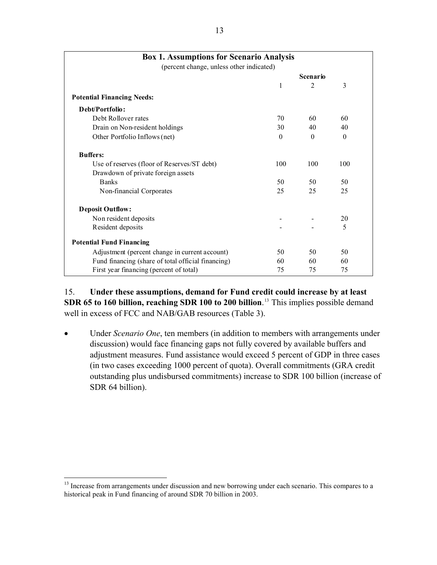<span id="page-12-0"></span>

| <b>Box 1. Assumptions for Scenario Analysis</b><br>(percent change, unless other indicated) |          |                 |          |
|---------------------------------------------------------------------------------------------|----------|-----------------|----------|
|                                                                                             |          | <b>Scenario</b> |          |
|                                                                                             | 1        | $\overline{2}$  | 3        |
| <b>Potential Financing Needs:</b>                                                           |          |                 |          |
| Debt/Portfolio:                                                                             |          |                 |          |
| Debt Rollover rates                                                                         | 70       | 60              | 60       |
| Drain on Non-resident holdings                                                              | 30       | 40              | 40       |
| Other Portfolio Inflows (net)                                                               | $\theta$ | $\theta$        | $\theta$ |
| <b>Buffers:</b>                                                                             |          |                 |          |
| Use of reserves (floor of Reserves/ST debt)                                                 | 100      | 100             | 100      |
| Drawdown of private foreign assets                                                          |          |                 |          |
| <b>Banks</b>                                                                                | 50       | 50              | 50       |
| Non-financial Corporates                                                                    | 25       | 25              | 25       |
| <b>Deposit Outflow:</b>                                                                     |          |                 |          |
| Non resident deposits                                                                       |          |                 | 20       |
| Resident deposits                                                                           |          |                 | 5        |
| <b>Potential Fund Financing</b>                                                             |          |                 |          |
| Adjustment (percent change in current account)                                              | 50       | 50              | 50       |
| Fund financing (share of total official financing)                                          | 60       | 60              | 60       |
| First year financing (percent of total)                                                     | 75       | 75              | 75       |

15. **Under these assumptions, demand for Fund credit could increase by at least SDR 65 to 160 billion, reaching SDR 100 to 200 billion**. [13](#page-12-0) This implies possible demand well in excess of FCC and NAB/GAB resources (Table 3).

• Under *Scenario One*, ten members (in addition to members with arrangements under discussion) would face financing gaps not fully covered by available buffers and adjustment measures. Fund assistance would exceed 5 percent of GDP in three cases (in two cases exceeding 1000 percent of quota). Overall commitments (GRA credit outstanding plus undisbursed commitments) increase to SDR 100 billion (increase of SDR 64 billion).

1

<sup>&</sup>lt;sup>13</sup> Increase from arrangements under discussion and new borrowing under each scenario. This compares to a historical peak in Fund financing of around SDR 70 billion in 2003.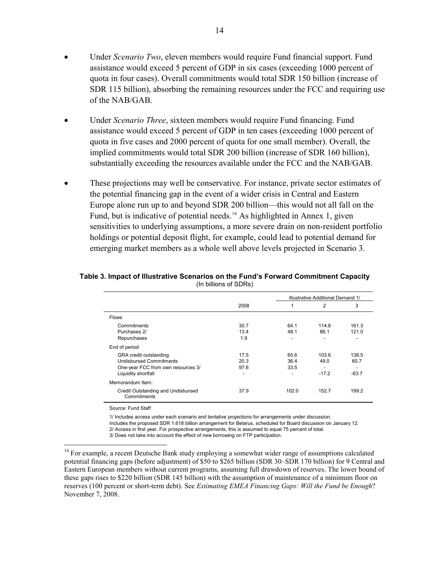- <span id="page-13-0"></span>• Under *Scenario Two*, eleven members would require Fund financial support. Fund assistance would exceed 5 percent of GDP in six cases (exceeding 1000 percent of quota in four cases). Overall commitments would total SDR 150 billion (increase of SDR 115 billion), absorbing the remaining resources under the FCC and requiring use of the NAB/GAB.
- Under *Scenario Three*, sixteen members would require Fund financing. Fund assistance would exceed 5 percent of GDP in ten cases (exceeding 1000 percent of quota in five cases and 2000 percent of quota for one small member). Overall, the implied commitments would total SDR 200 billion (increase of SDR 160 billion), substantially exceeding the resources available under the FCC and the NAB/GAB.
- These projections may well be conservative. For instance, private sector estimates of the potential financing gap in the event of a wider crisis in Central and Eastern Europe alone run up to and beyond SDR 200 billion—this would not all fall on the Fund, but is indicative of potential needs.<sup>[14](#page-13-0)</sup> As highlighted in Annex 1, given sensitivities to underlying assumptions, a more severe drain on non-resident portfolio holdings or potential deposit flight, for example, could lead to potential demand for emerging market members as a whole well above levels projected in Scenario 3.

#### **Table 3. Impact of Illustrative Scenarios on the Fund's Forward Commitment Capacity**  (In billions of SDRs)

|                                                   |      |       | Illustrative Additional Demand 1/ |                          |
|---------------------------------------------------|------|-------|-----------------------------------|--------------------------|
|                                                   | 2008 | 1     | 2                                 | 3                        |
| <b>Flows</b>                                      |      |       |                                   |                          |
| Commitments                                       | 30.7 | 64.1  | 114.8                             | 161.3                    |
| Purchases 2/                                      | 13.4 | 48.1  | 86.1                              | 121.0                    |
| Repurchases                                       | 1.9  | ٠     | ۰                                 |                          |
| End of period                                     |      |       |                                   |                          |
| <b>GRA</b> credit outstanding                     | 17.5 | 65.6  | 103.6                             | 138.5                    |
| <b>Undisbursed Commitments</b>                    | 20.3 | 36.4  | 49.0                              | 60.7                     |
| One-year FCC from own resources 3/                | 97.6 | 33.5  | ٠                                 | $\overline{\phantom{a}}$ |
| Liquidity shortfall                               | ۰    | ٠     | $-17.2$                           | $-63.7$                  |
| Memorandum Item:                                  |      |       |                                   |                          |
| Credit Outstanding and Undisbursed<br>Commitments | 37.9 | 102.0 | 152.7                             | 199.2                    |

Source: Fund Staff

 $\overline{a}$ 

1/ Includes access under each scenario and tentative projections for arrangements under discussion. Includes the proposed SDR 1.618 billion arrangement for Belarus, scheduled for Board discussion on January 12. 2/ Access in first year. For prospective arrangements, this is assumed to equal 75 percent of total.

3/ Does not take into account the effect of new borrowing on FTP participation.

<sup>&</sup>lt;sup>14</sup> For example, a recent Deutsche Bank study employing a somewhat wider range of assumptions calculated potential financing gaps (before adjustment) of \$50 to \$265 billion (SDR 30–SDR 170 billion) for 9 Central and Eastern European members without current programs, assuming full drawdown of reserves. The lower bound of these gaps rises to \$220 billion (SDR 145 billion) with the assumption of maintenance of a minimum floor on reserves (100 percent or short-term debt). See *Estimating EMEA Financing Gaps: Will the Fund be Enough*? November 7, 2008.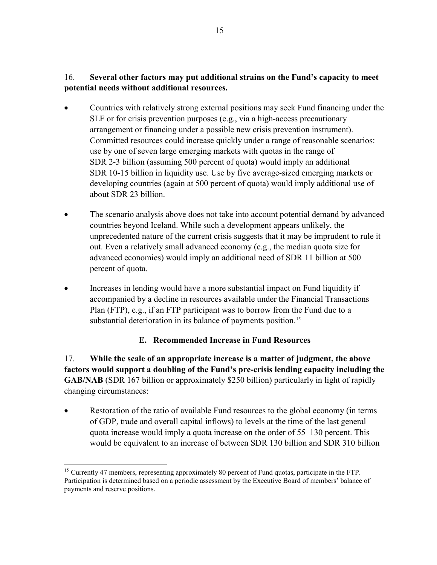## <span id="page-14-0"></span>16. **Several other factors may put additional strains on the Fund's capacity to meet potential needs without additional resources.**

- Countries with relatively strong external positions may seek Fund financing under the SLF or for crisis prevention purposes (e.g., via a high-access precautionary arrangement or financing under a possible new crisis prevention instrument). Committed resources could increase quickly under a range of reasonable scenarios: use by one of seven large emerging markets with quotas in the range of SDR 2-3 billion (assuming 500 percent of quota) would imply an additional SDR 10-15 billion in liquidity use. Use by five average-sized emerging markets or developing countries (again at 500 percent of quota) would imply additional use of about SDR 23 billion.
- The scenario analysis above does not take into account potential demand by advanced countries beyond Iceland. While such a development appears unlikely, the unprecedented nature of the current crisis suggests that it may be imprudent to rule it out. Even a relatively small advanced economy (e.g., the median quota size for advanced economies) would imply an additional need of SDR 11 billion at 500 percent of quota.
- Increases in lending would have a more substantial impact on Fund liquidity if accompanied by a decline in resources available under the Financial Transactions Plan (FTP), e.g., if an FTP participant was to borrow from the Fund due to a substantial deterioration in its balance of payments position.<sup>[15](#page-14-0)</sup>

## **E. Recommended Increase in Fund Resources**

17. **While the scale of an appropriate increase is a matter of judgment, the above factors would support a doubling of the Fund's pre-crisis lending capacity including the GAB/NAB** (SDR 167 billion or approximately \$250 billion) particularly in light of rapidly changing circumstances:

• Restoration of the ratio of available Fund resources to the global economy (in terms of GDP, trade and overall capital inflows) to levels at the time of the last general quota increase would imply a quota increase on the order of 55–130 percent. This would be equivalent to an increase of between SDR 130 billion and SDR 310 billion

 $\overline{a}$ <sup>15</sup> Currently 47 members, representing approximately 80 percent of Fund quotas, participate in the FTP. Participation is determined based on a periodic assessment by the Executive Board of members' balance of payments and reserve positions.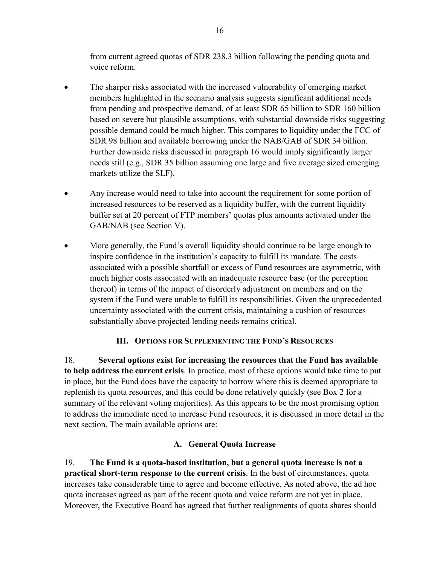from current agreed quotas of SDR 238.3 billion following the pending quota and voice reform.

- <span id="page-15-0"></span>• The sharper risks associated with the increased vulnerability of emerging market members highlighted in the scenario analysis suggests significant additional needs from pending and prospective demand, of at least SDR 65 billion to SDR 160 billion based on severe but plausible assumptions, with substantial downside risks suggesting possible demand could be much higher. This compares to liquidity under the FCC of SDR 98 billion and available borrowing under the NAB/GAB of SDR 34 billion. Further downside risks discussed in paragraph 16 would imply significantly larger needs still (e.g., SDR 35 billion assuming one large and five average sized emerging markets utilize the SLF).
- Any increase would need to take into account the requirement for some portion of increased resources to be reserved as a liquidity buffer, with the current liquidity buffer set at 20 percent of FTP members' quotas plus amounts activated under the GAB/NAB (see Section V).
- More generally, the Fund's overall liquidity should continue to be large enough to inspire confidence in the institution's capacity to fulfill its mandate. The costs associated with a possible shortfall or excess of Fund resources are asymmetric, with much higher costs associated with an inadequate resource base (or the perception thereof) in terms of the impact of disorderly adjustment on members and on the system if the Fund were unable to fulfill its responsibilities. Given the unprecedented uncertainty associated with the current crisis, maintaining a cushion of resources substantially above projected lending needs remains critical.

## **III. OPTIONS FOR SUPPLEMENTING THE FUND'S RESOURCES**

18. **Several options exist for increasing the resources that the Fund has available to help address the current crisis**. In practice, most of these options would take time to put in place, but the Fund does have the capacity to borrow where this is deemed appropriate to replenish its quota resources, and this could be done relatively quickly (see Box 2 for a summary of the relevant voting majorities). As this appears to be the most promising option to address the immediate need to increase Fund resources, it is discussed in more detail in the next section. The main available options are:

## **A. General Quota Increase**

19. **The Fund is a quota-based institution, but a general quota increase is not a practical short-term response to the current crisis**. In the best of circumstances, quota increases take considerable time to agree and become effective. As noted above, the ad hoc quota increases agreed as part of the recent quota and voice reform are not yet in place. Moreover, the Executive Board has agreed that further realignments of quota shares should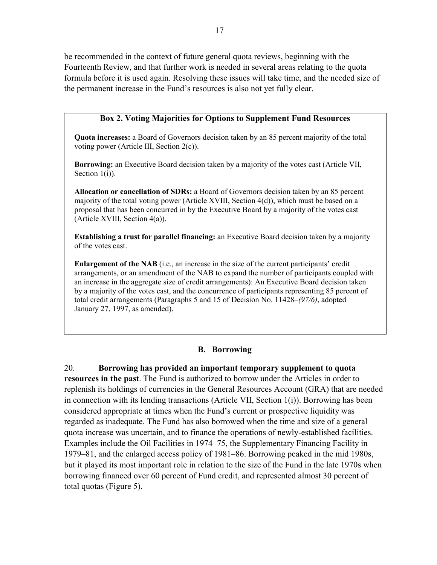<span id="page-16-0"></span>be recommended in the context of future general quota reviews, beginning with the Fourteenth Review, and that further work is needed in several areas relating to the quota formula before it is used again. Resolving these issues will take time, and the needed size of the permanent increase in the Fund's resources is also not yet fully clear.

## **Box 2. Voting Majorities for Options to Supplement Fund Resources**

**Quota increases:** a Board of Governors decision taken by an 85 percent majority of the total voting power (Article III, Section 2(c)).

**Borrowing:** an Executive Board decision taken by a majority of the votes cast (Article VII, Section 1(i)).

**Allocation or cancellation of SDRs:** a Board of Governors decision taken by an 85 percent majority of the total voting power (Article XVIII, Section 4(d)), which must be based on a proposal that has been concurred in by the Executive Board by a majority of the votes cast (Article XVIII, Section 4(a)).

**Establishing a trust for parallel financing:** an Executive Board decision taken by a majority of the votes cast.

**Enlargement of the NAB** (i.e., an increase in the size of the current participants' credit arrangements, or an amendment of the NAB to expand the number of participants coupled with an increase in the aggregate size of credit arrangements): An Executive Board decision taken by a majority of the votes cast, and the concurrence of participants representing 85 percent of total credit arrangements (Paragraphs 5 and 15 of Decision No. 11428–*(97/6)*, adopted January 27, 1997, as amended).

#### **B. Borrowing**

20. **Borrowing has provided an important temporary supplement to quota resources in the past**. The Fund is authorized to borrow under the Articles in order to replenish its holdings of currencies in the General Resources Account (GRA) that are needed in connection with its lending transactions (Article VII, Section 1(i)). Borrowing has been considered appropriate at times when the Fund's current or prospective liquidity was regarded as inadequate. The Fund has also borrowed when the time and size of a general quota increase was uncertain, and to finance the operations of newly-established facilities. Examples include the Oil Facilities in 1974–75, the Supplementary Financing Facility in 1979–81, and the enlarged access policy of 1981–86. Borrowing peaked in the mid 1980s, but it played its most important role in relation to the size of the Fund in the late 1970s when borrowing financed over 60 percent of Fund credit, and represented almost 30 percent of total quotas (Figure 5).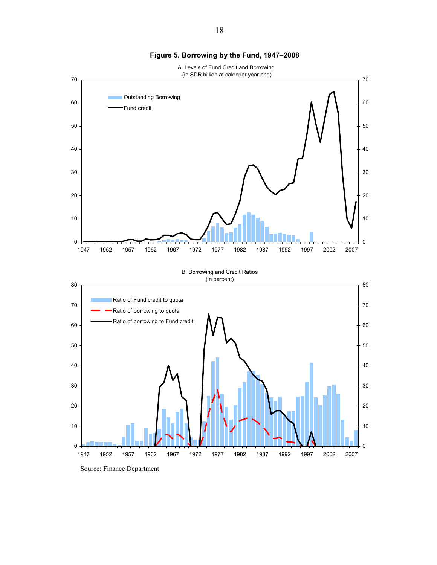<span id="page-17-0"></span>

**Figure 5. Borrowing by the Fund, 1947–2008**

Source: Finance Department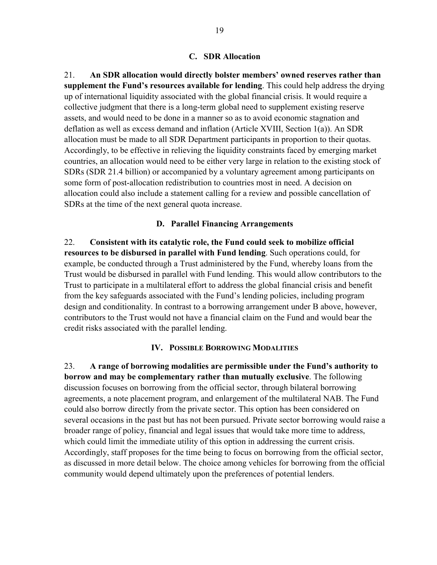#### **C. SDR Allocation**

<span id="page-18-0"></span>21. **An SDR allocation would directly bolster members' owned reserves rather than supplement the Fund's resources available for lending**. This could help address the drying up of international liquidity associated with the global financial crisis. It would require a collective judgment that there is a long-term global need to supplement existing reserve assets, and would need to be done in a manner so as to avoid economic stagnation and deflation as well as excess demand and inflation (Article XVIII, Section 1(a)). An SDR allocation must be made to all SDR Department participants in proportion to their quotas. Accordingly, to be effective in relieving the liquidity constraints faced by emerging market countries, an allocation would need to be either very large in relation to the existing stock of SDRs (SDR 21.4 billion) or accompanied by a voluntary agreement among participants on some form of post-allocation redistribution to countries most in need. A decision on allocation could also include a statement calling for a review and possible cancellation of SDRs at the time of the next general quota increase.

#### **D. Parallel Financing Arrangements**

22. **Consistent with its catalytic role, the Fund could seek to mobilize official resources to be disbursed in parallel with Fund lending**. Such operations could, for example, be conducted through a Trust administered by the Fund, whereby loans from the Trust would be disbursed in parallel with Fund lending. This would allow contributors to the Trust to participate in a multilateral effort to address the global financial crisis and benefit from the key safeguards associated with the Fund's lending policies, including program design and conditionality. In contrast to a borrowing arrangement under B above, however, contributors to the Trust would not have a financial claim on the Fund and would bear the credit risks associated with the parallel lending.

#### **IV. POSSIBLE BORROWING MODALITIES**

23. **A range of borrowing modalities are permissible under the Fund's authority to borrow and may be complementary rather than mutually exclusive**. The following discussion focuses on borrowing from the official sector, through bilateral borrowing agreements, a note placement program, and enlargement of the multilateral NAB. The Fund could also borrow directly from the private sector. This option has been considered on several occasions in the past but has not been pursued. Private sector borrowing would raise a broader range of policy, financial and legal issues that would take more time to address, which could limit the immediate utility of this option in addressing the current crisis. Accordingly, staff proposes for the time being to focus on borrowing from the official sector, as discussed in more detail below. The choice among vehicles for borrowing from the official community would depend ultimately upon the preferences of potential lenders.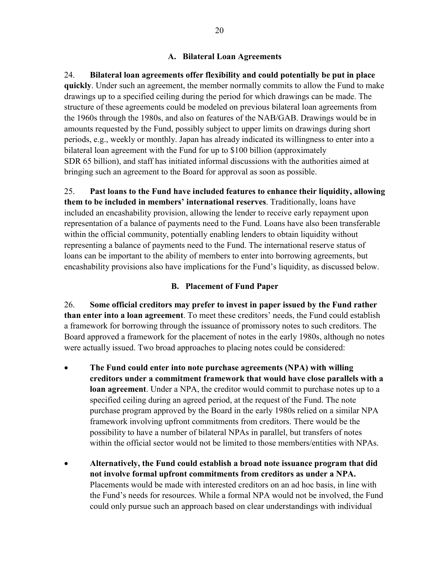## **A. Bilateral Loan Agreements**

<span id="page-19-0"></span>24. **Bilateral loan agreements offer flexibility and could potentially be put in place quickly**. Under such an agreement, the member normally commits to allow the Fund to make drawings up to a specified ceiling during the period for which drawings can be made. The structure of these agreements could be modeled on previous bilateral loan agreements from the 1960s through the 1980s, and also on features of the NAB/GAB. Drawings would be in amounts requested by the Fund, possibly subject to upper limits on drawings during short periods, e.g., weekly or monthly. Japan has already indicated its willingness to enter into a bilateral loan agreement with the Fund for up to \$100 billion (approximately SDR 65 billion), and staff has initiated informal discussions with the authorities aimed at bringing such an agreement to the Board for approval as soon as possible.

25. **Past loans to the Fund have included features to enhance their liquidity, allowing them to be included in members' international reserves**. Traditionally, loans have included an encashability provision, allowing the lender to receive early repayment upon representation of a balance of payments need to the Fund. Loans have also been transferable within the official community, potentially enabling lenders to obtain liquidity without representing a balance of payments need to the Fund. The international reserve status of loans can be important to the ability of members to enter into borrowing agreements, but encashability provisions also have implications for the Fund's liquidity, as discussed below.

### **B. Placement of Fund Paper**

26. **Some official creditors may prefer to invest in paper issued by the Fund rather than enter into a loan agreement**. To meet these creditors' needs, the Fund could establish a framework for borrowing through the issuance of promissory notes to such creditors. The Board approved a framework for the placement of notes in the early 1980s, although no notes were actually issued. Two broad approaches to placing notes could be considered:

- **The Fund could enter into note purchase agreements (NPA) with willing creditors under a commitment framework that would have close parallels with a loan agreement**. Under a NPA, the creditor would commit to purchase notes up to a specified ceiling during an agreed period, at the request of the Fund. The note purchase program approved by the Board in the early 1980s relied on a similar NPA framework involving upfront commitments from creditors. There would be the possibility to have a number of bilateral NPAs in parallel, but transfers of notes within the official sector would not be limited to those members/entities with NPAs.
- **Alternatively, the Fund could establish a broad note issuance program that did not involve formal upfront commitments from creditors as under a NPA.**  Placements would be made with interested creditors on an ad hoc basis, in line with the Fund's needs for resources. While a formal NPA would not be involved, the Fund could only pursue such an approach based on clear understandings with individual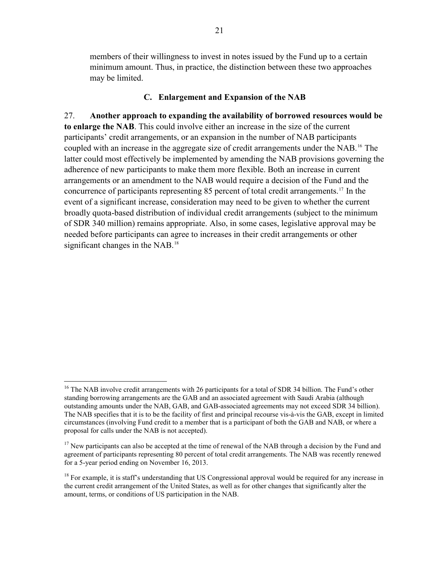<span id="page-20-0"></span>members of their willingness to invest in notes issued by the Fund up to a certain minimum amount. Thus, in practice, the distinction between these two approaches may be limited.

## **C. Enlargement and Expansion of the NAB**

27. **Another approach to expanding the availability of borrowed resources would be to enlarge the NAB**. This could involve either an increase in the size of the current participants' credit arrangements, or an expansion in the number of NAB participants coupled with an increase in the aggregate size of credit arrangements under the NAB.[16](#page-20-0) The latter could most effectively be implemented by amending the NAB provisions governing the adherence of new participants to make them more flexible. Both an increase in current arrangements or an amendment to the NAB would require a decision of the Fund and the concurrence of participants representing 85 percent of total credit arrangements.[17](#page-20-0) In the event of a significant increase, consideration may need to be given to whether the current broadly quota-based distribution of individual credit arrangements (subject to the minimum of SDR 340 million) remains appropriate. Also, in some cases, legislative approval may be needed before participants can agree to increases in their credit arrangements or other significant changes in the NAB.<sup>[18](#page-20-0)</sup>

 $\overline{a}$ 

<sup>&</sup>lt;sup>16</sup> The NAB involve credit arrangements with 26 participants for a total of SDR 34 billion. The Fund's other standing borrowing arrangements are the GAB and an associated agreement with Saudi Arabia (although outstanding amounts under the NAB, GAB, and GAB-associated agreements may not exceed SDR 34 billion). The NAB specifies that it is to be the facility of first and principal recourse vis-à-vis the GAB, except in limited circumstances (involving Fund credit to a member that is a participant of both the GAB and NAB, or where a proposal for calls under the NAB is not accepted).

<sup>&</sup>lt;sup>17</sup> New participants can also be accepted at the time of renewal of the NAB through a decision by the Fund and agreement of participants representing 80 percent of total credit arrangements. The NAB was recently renewed for a 5-year period ending on November 16, 2013.

 $18$  For example, it is staff's understanding that US Congressional approval would be required for any increase in the current credit arrangement of the United States, as well as for other changes that significantly alter the amount, terms, or conditions of US participation in the NAB.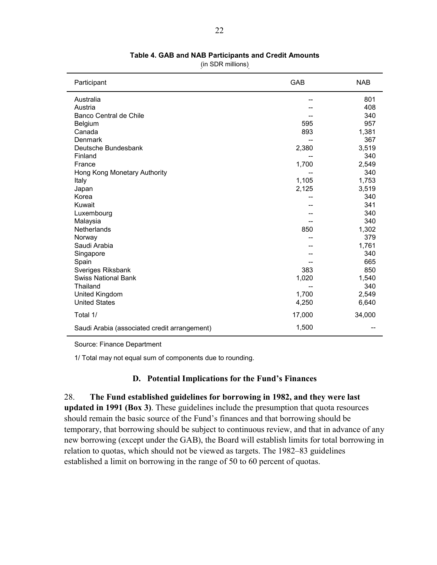<span id="page-21-0"></span>

| Participant                                  | GAB    | <b>NAB</b> |
|----------------------------------------------|--------|------------|
| Australia                                    |        | 801        |
| Austria                                      |        | 408        |
| Banco Central de Chile                       |        | 340        |
| Belgium                                      | 595    | 957        |
| Canada                                       | 893    | 1,381      |
| Denmark                                      |        | 367        |
| Deutsche Bundesbank                          | 2,380  | 3,519      |
| Finland                                      |        | 340        |
| France                                       | 1,700  | 2,549      |
| Hong Kong Monetary Authority                 |        | 340        |
| Italy                                        | 1,105  | 1,753      |
| Japan                                        | 2,125  | 3,519      |
| Korea                                        |        | 340        |
| Kuwait                                       |        | 341        |
| Luxembourg                                   |        | 340        |
| Malaysia                                     |        | 340        |
| Netherlands                                  | 850    | 1,302      |
| Norway                                       |        | 379        |
| Saudi Arabia                                 |        | 1,761      |
| Singapore                                    |        | 340        |
| Spain                                        |        | 665        |
| Sveriges Riksbank                            | 383    | 850        |
| <b>Swiss National Bank</b>                   | 1,020  | 1,540      |
| Thailand                                     |        | 340        |
| United Kingdom                               | 1,700  | 2,549      |
| <b>United States</b>                         | 4,250  | 6,640      |
| Total 1/                                     | 17,000 | 34,000     |
| Saudi Arabia (associated credit arrangement) | 1,500  |            |

**Table 4. GAB and NAB Participants and Credit Amounts** 

(in SDR millions)

Source: Finance Department

1/ Total may not equal sum of components due to rounding.

#### **D. Potential Implications for the Fund's Finances**

28. **The Fund established guidelines for borrowing in 1982, and they were last** 

**updated in 1991 (Box 3)**. These guidelines include the presumption that quota resources should remain the basic source of the Fund's finances and that borrowing should be temporary, that borrowing should be subject to continuous review, and that in advance of any new borrowing (except under the GAB), the Board will establish limits for total borrowing in relation to quotas, which should not be viewed as targets. The 1982–83 guidelines established a limit on borrowing in the range of 50 to 60 percent of quotas.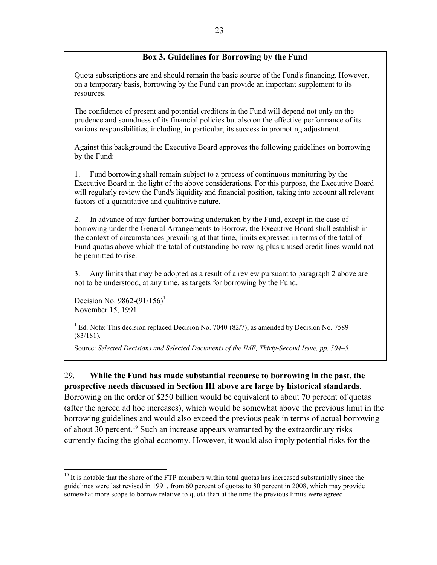## **Box 3. Guidelines for Borrowing by the Fund**

<span id="page-22-0"></span>Quota subscriptions are and should remain the basic source of the Fund's financing. However, on a temporary basis, borrowing by the Fund can provide an important supplement to its resources.

The confidence of present and potential creditors in the Fund will depend not only on the prudence and soundness of its financial policies but also on the effective performance of its various responsibilities, including, in particular, its success in promoting adjustment.

Against this background the Executive Board approves the following guidelines on borrowing by the Fund:

1. Fund borrowing shall remain subject to a process of continuous monitoring by the Executive Board in the light of the above considerations. For this purpose, the Executive Board will regularly review the Fund's liquidity and financial position, taking into account all relevant factors of a quantitative and qualitative nature.

2. In advance of any further borrowing undertaken by the Fund, except in the case of borrowing under the General Arrangements to Borrow, the Executive Board shall establish in the context of circumstances prevailing at that time, limits expressed in terms of the total of Fund quotas above which the total of outstanding borrowing plus unused credit lines would not be permitted to rise.

3. Any limits that may be adopted as a result of a review pursuant to paragraph 2 above are not to be understood, at any time, as targets for borrowing by the Fund.

Decision No. 9862-(91/156)<sup>1</sup> November 15, 1991

1

<sup>1</sup> Ed. Note: This decision replaced Decision No. 7040-(82/7), as amended by Decision No. 7589-(83/181).

Source: *Selected Decisions and Selected Documents of the IMF, Thirty-Second Issue, pp. 504–5.* 

29. **While the Fund has made substantial recourse to borrowing in the past, the prospective needs discussed in Section III above are large by historical standards**. Borrowing on the order of \$250 billion would be equivalent to about 70 percent of quotas (after the agreed ad hoc increases), which would be somewhat above the previous limit in the borrowing guidelines and would also exceed the previous peak in terms of actual borrowing of about 30 percent.[19](#page-22-0) Such an increase appears warranted by the extraordinary risks currently facing the global economy. However, it would also imply potential risks for the

<sup>&</sup>lt;sup>19</sup> It is notable that the share of the FTP members within total quotas has increased substantially since the guidelines were last revised in 1991, from 60 percent of quotas to 80 percent in 2008, which may provide somewhat more scope to borrow relative to quota than at the time the previous limits were agreed.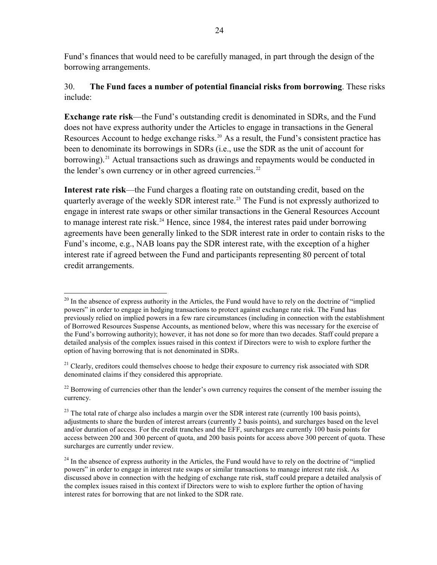<span id="page-23-0"></span>Fund's finances that would need to be carefully managed, in part through the design of the borrowing arrangements.

## 30. **The Fund faces a number of potential financial risks from borrowing**. These risks include:

**Exchange rate risk**—the Fund's outstanding credit is denominated in SDRs, and the Fund does not have express authority under the Articles to engage in transactions in the General Resources Account to hedge exchange risks.<sup>[20](#page-23-0)</sup> As a result, the Fund's consistent practice has been to denominate its borrowings in SDRs (i.e., use the SDR as the unit of account for borrowing).<sup>[21](#page-23-0)</sup> Actual transactions such as drawings and repayments would be conducted in the lender's own currency or in other agreed currencies.<sup>[22](#page-23-0)</sup>

**Interest rate risk**—the Fund charges a floating rate on outstanding credit, based on the quarterly average of the weekly SDR interest rate.<sup>[23](#page-23-0)</sup> The Fund is not expressly authorized to engage in interest rate swaps or other similar transactions in the General Resources Account to manage interest rate risk.<sup>[24](#page-23-0)</sup> Hence, since 1984, the interest rates paid under borrowing agreements have been generally linked to the SDR interest rate in order to contain risks to the Fund's income, e.g., NAB loans pay the SDR interest rate, with the exception of a higher interest rate if agreed between the Fund and participants representing 80 percent of total credit arrangements.

 $\overline{a}$  $^{20}$  In the absence of express authority in the Articles, the Fund would have to rely on the doctrine of "implied" powers" in order to engage in hedging transactions to protect against exchange rate risk. The Fund has previously relied on implied powers in a few rare circumstances (including in connection with the establishment of Borrowed Resources Suspense Accounts, as mentioned below, where this was necessary for the exercise of the Fund's borrowing authority); however, it has not done so for more than two decades. Staff could prepare a detailed analysis of the complex issues raised in this context if Directors were to wish to explore further the option of having borrowing that is not denominated in SDRs.

 $21$  Clearly, creditors could themselves choose to hedge their exposure to currency risk associated with SDR denominated claims if they considered this appropriate.

 $22$  Borrowing of currencies other than the lender's own currency requires the consent of the member issuing the currency.

 $^{23}$  The total rate of charge also includes a margin over the SDR interest rate (currently 100 basis points), adjustments to share the burden of interest arrears (currently 2 basis points), and surcharges based on the level and/or duration of access. For the credit tranches and the EFF, surcharges are currently 100 basis points for access between 200 and 300 percent of quota, and 200 basis points for access above 300 percent of quota. These surcharges are currently under review.

 $^{24}$  In the absence of express authority in the Articles, the Fund would have to rely on the doctrine of "implied" powers" in order to engage in interest rate swaps or similar transactions to manage interest rate risk. As discussed above in connection with the hedging of exchange rate risk, staff could prepare a detailed analysis of the complex issues raised in this context if Directors were to wish to explore further the option of having interest rates for borrowing that are not linked to the SDR rate.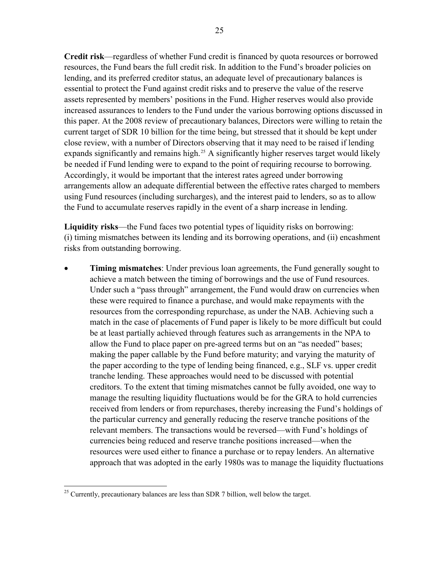<span id="page-24-0"></span>**Credit risk**—regardless of whether Fund credit is financed by quota resources or borrowed resources, the Fund bears the full credit risk. In addition to the Fund's broader policies on lending, and its preferred creditor status, an adequate level of precautionary balances is essential to protect the Fund against credit risks and to preserve the value of the reserve assets represented by members' positions in the Fund. Higher reserves would also provide increased assurances to lenders to the Fund under the various borrowing options discussed in this paper. At the 2008 review of precautionary balances, Directors were willing to retain the current target of SDR 10 billion for the time being, but stressed that it should be kept under close review, with a number of Directors observing that it may need to be raised if lending expands significantly and remains high.<sup>[25](#page-24-0)</sup> A significantly higher reserves target would likely be needed if Fund lending were to expand to the point of requiring recourse to borrowing. Accordingly, it would be important that the interest rates agreed under borrowing arrangements allow an adequate differential between the effective rates charged to members using Fund resources (including surcharges), and the interest paid to lenders, so as to allow the Fund to accumulate reserves rapidly in the event of a sharp increase in lending.

**Liquidity risks**—the Fund faces two potential types of liquidity risks on borrowing: (i) timing mismatches between its lending and its borrowing operations, and (ii) encashment risks from outstanding borrowing.

• **Timing mismatches**: Under previous loan agreements, the Fund generally sought to achieve a match between the timing of borrowings and the use of Fund resources. Under such a "pass through" arrangement, the Fund would draw on currencies when these were required to finance a purchase, and would make repayments with the resources from the corresponding repurchase, as under the NAB. Achieving such a match in the case of placements of Fund paper is likely to be more difficult but could be at least partially achieved through features such as arrangements in the NPA to allow the Fund to place paper on pre-agreed terms but on an "as needed" bases; making the paper callable by the Fund before maturity; and varying the maturity of the paper according to the type of lending being financed, e.g., SLF vs. upper credit tranche lending. These approaches would need to be discussed with potential creditors. To the extent that timing mismatches cannot be fully avoided, one way to manage the resulting liquidity fluctuations would be for the GRA to hold currencies received from lenders or from repurchases, thereby increasing the Fund's holdings of the particular currency and generally reducing the reserve tranche positions of the relevant members. The transactions would be reversed—with Fund's holdings of currencies being reduced and reserve tranche positions increased—when the resources were used either to finance a purchase or to repay lenders. An alternative approach that was adopted in the early 1980s was to manage the liquidity fluctuations

 $\overline{a}$ 

 $25$  Currently, precautionary balances are less than SDR 7 billion, well below the target.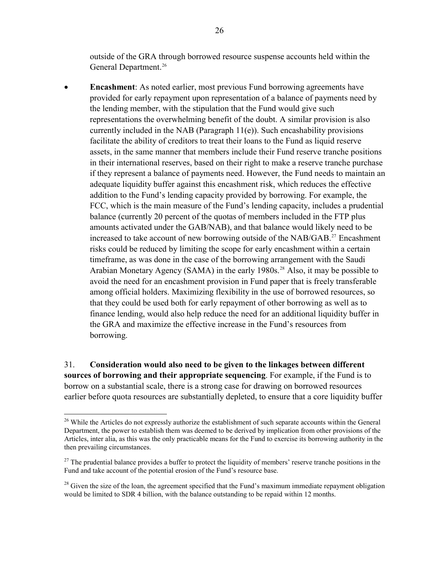<span id="page-25-0"></span>outside of the GRA through borrowed resource suspense accounts held within the General Department.<sup>26</sup>

• **Encashment**: As noted earlier, most previous Fund borrowing agreements have provided for early repayment upon representation of a balance of payments need by the lending member, with the stipulation that the Fund would give such representations the overwhelming benefit of the doubt. A similar provision is also currently included in the NAB (Paragraph  $11(e)$ ). Such encashability provisions facilitate the ability of creditors to treat their loans to the Fund as liquid reserve assets, in the same manner that members include their Fund reserve tranche positions in their international reserves, based on their right to make a reserve tranche purchase if they represent a balance of payments need. However, the Fund needs to maintain an adequate liquidity buffer against this encashment risk, which reduces the effective addition to the Fund's lending capacity provided by borrowing. For example, the FCC, which is the main measure of the Fund's lending capacity, includes a prudential balance (currently 20 percent of the quotas of members included in the FTP plus amounts activated under the GAB/NAB), and that balance would likely need to be increased to take account of new borrowing outside of the NAB/GAB.<sup>[27](#page-25-0)</sup> Encashment risks could be reduced by limiting the scope for early encashment within a certain timeframe, as was done in the case of the borrowing arrangement with the Saudi Arabian Monetary Agency (SAMA) in the early 1980s.<sup>[28](#page-25-0)</sup> Also, it may be possible to avoid the need for an encashment provision in Fund paper that is freely transferable among official holders. Maximizing flexibility in the use of borrowed resources, so that they could be used both for early repayment of other borrowing as well as to finance lending, would also help reduce the need for an additional liquidity buffer in the GRA and maximize the effective increase in the Fund's resources from borrowing.

31. **Consideration would also need to be given to the linkages between different sources of borrowing and their appropriate sequencing**. For example, if the Fund is to borrow on a substantial scale, there is a strong case for drawing on borrowed resources earlier before quota resources are substantially depleted, to ensure that a core liquidity buffer

1

<sup>&</sup>lt;sup>26</sup> While the Articles do not expressly authorize the establishment of such separate accounts within the General Department, the power to establish them was deemed to be derived by implication from other provisions of the Articles, inter alia, as this was the only practicable means for the Fund to exercise its borrowing authority in the then prevailing circumstances.

 $27$  The prudential balance provides a buffer to protect the liquidity of members' reserve tranche positions in the Fund and take account of the potential erosion of the Fund's resource base.

 $^{28}$  Given the size of the loan, the agreement specified that the Fund's maximum immediate repayment obligation would be limited to SDR 4 billion, with the balance outstanding to be repaid within 12 months.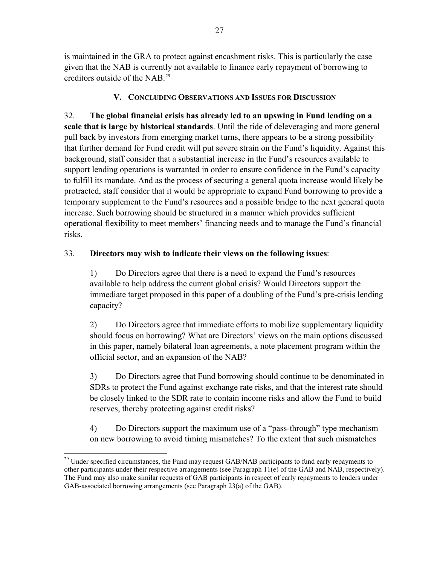<span id="page-26-0"></span>is maintained in the GRA to protect against encashment risks. This is particularly the case given that the NAB is currently not available to finance early repayment of borrowing to creditors outside of the NAB  $^{29}$ 

## **V. CONCLUDING OBSERVATIONS AND ISSUES FOR DISCUSSION**

32. **The global financial crisis has already led to an upswing in Fund lending on a scale that is large by historical standards**. Until the tide of deleveraging and more general pull back by investors from emerging market turns, there appears to be a strong possibility that further demand for Fund credit will put severe strain on the Fund's liquidity. Against this background, staff consider that a substantial increase in the Fund's resources available to support lending operations is warranted in order to ensure confidence in the Fund's capacity to fulfill its mandate. And as the process of securing a general quota increase would likely be protracted, staff consider that it would be appropriate to expand Fund borrowing to provide a temporary supplement to the Fund's resources and a possible bridge to the next general quota increase. Such borrowing should be structured in a manner which provides sufficient operational flexibility to meet members' financing needs and to manage the Fund's financial risks.

## 33. **Directors may wish to indicate their views on the following issues**:

1) Do Directors agree that there is a need to expand the Fund's resources available to help address the current global crisis? Would Directors support the immediate target proposed in this paper of a doubling of the Fund's pre-crisis lending capacity?

2) Do Directors agree that immediate efforts to mobilize supplementary liquidity should focus on borrowing? What are Directors' views on the main options discussed in this paper, namely bilateral loan agreements, a note placement program within the official sector, and an expansion of the NAB?

3) Do Directors agree that Fund borrowing should continue to be denominated in SDRs to protect the Fund against exchange rate risks, and that the interest rate should be closely linked to the SDR rate to contain income risks and allow the Fund to build reserves, thereby protecting against credit risks?

4) Do Directors support the maximum use of a "pass-through" type mechanism on new borrowing to avoid timing mismatches? To the extent that such mismatches

<sup>1</sup> <sup>29</sup> Under specified circumstances, the Fund may request GAB/NAB participants to fund early repayments to other participants under their respective arrangements (see Paragraph 11(e) of the GAB and NAB, respectively). The Fund may also make similar requests of GAB participants in respect of early repayments to lenders under GAB-associated borrowing arrangements (see Paragraph 23(a) of the GAB).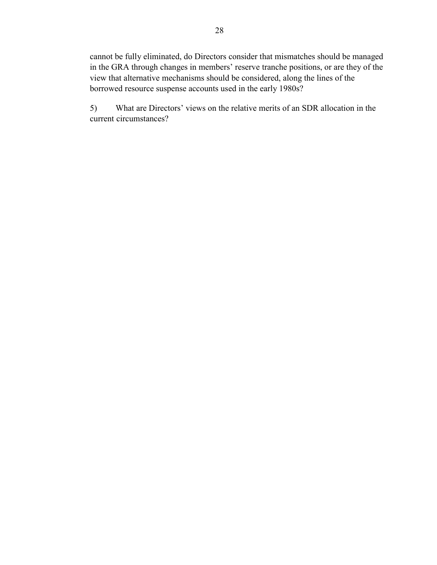cannot be fully eliminated, do Directors consider that mismatches should be managed in the GRA through changes in members' reserve tranche positions, or are they of the view that alternative mechanisms should be considered, along the lines of the borrowed resource suspense accounts used in the early 1980s?

5) What are Directors' views on the relative merits of an SDR allocation in the current circumstances?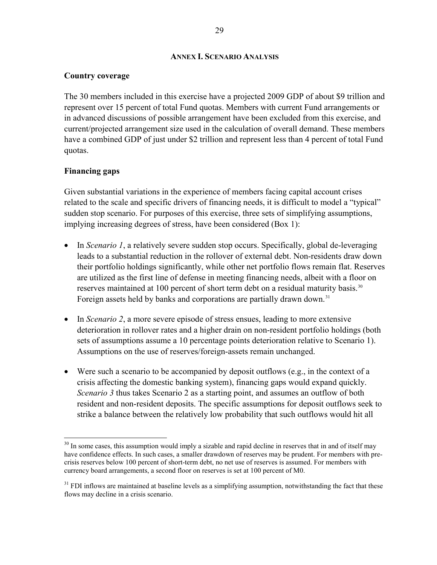#### **ANNEX I. SCENARIO ANALYSIS**

#### <span id="page-28-0"></span>**Country coverage**

The 30 members included in this exercise have a projected 2009 GDP of about \$9 trillion and represent over 15 percent of total Fund quotas. Members with current Fund arrangements or in advanced discussions of possible arrangement have been excluded from this exercise, and current/projected arrangement size used in the calculation of overall demand. These members have a combined GDP of just under \$2 trillion and represent less than 4 percent of total Fund quotas.

## **Financing gaps**

Given substantial variations in the experience of members facing capital account crises related to the scale and specific drivers of financing needs, it is difficult to model a "typical" sudden stop scenario. For purposes of this exercise, three sets of simplifying assumptions, implying increasing degrees of stress, have been considered (Box 1):

- In *Scenario 1*, a relatively severe sudden stop occurs. Specifically, global de-leveraging leads to a substantial reduction in the rollover of external debt. Non-residents draw down their portfolio holdings significantly, while other net portfolio flows remain flat. Reserves are utilized as the first line of defense in meeting financing needs, albeit with a floor on reserves maintained at 100 percent of short term debt on a residual maturity basis.<sup>[30](#page-28-0)</sup> Foreign assets held by banks and corporations are partially drawn down.<sup>[31](#page-28-0)</sup>
- In *Scenario 2*, a more severe episode of stress ensues, leading to more extensive deterioration in rollover rates and a higher drain on non-resident portfolio holdings (both sets of assumptions assume a 10 percentage points deterioration relative to Scenario 1). Assumptions on the use of reserves/foreign-assets remain unchanged.
- Were such a scenario to be accompanied by deposit outflows (e.g., in the context of a crisis affecting the domestic banking system), financing gaps would expand quickly. *Scenario 3* thus takes Scenario 2 as a starting point, and assumes an outflow of both resident and non-resident deposits. The specific assumptions for deposit outflows seek to strike a balance between the relatively low probability that such outflows would hit all

<sup>1</sup> <sup>30</sup> In some cases, this assumption would imply a sizable and rapid decline in reserves that in and of itself may have confidence effects. In such cases, a smaller drawdown of reserves may be prudent. For members with precrisis reserves below 100 percent of short-term debt, no net use of reserves is assumed. For members with currency board arrangements, a second floor on reserves is set at 100 percent of M0.

<sup>&</sup>lt;sup>31</sup> FDI inflows are maintained at baseline levels as a simplifying assumption, notwithstanding the fact that these flows may decline in a crisis scenario.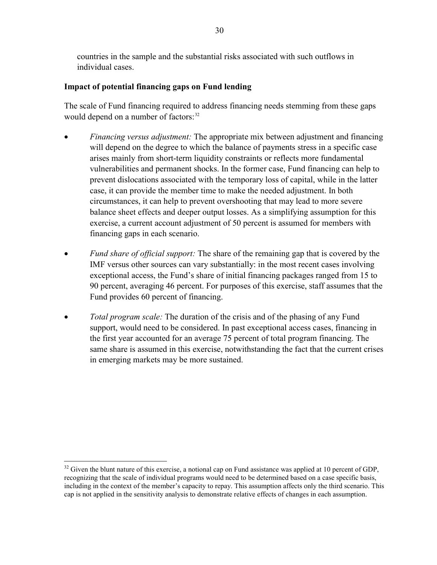<span id="page-29-0"></span>countries in the sample and the substantial risks associated with such outflows in individual cases.

## **Impact of potential financing gaps on Fund lending**

The scale of Fund financing required to address financing needs stemming from these gaps would depend on a number of factors:<sup>[32](#page-29-0)</sup>

- *Financing versus adjustment:* The appropriate mix between adjustment and financing will depend on the degree to which the balance of payments stress in a specific case arises mainly from short-term liquidity constraints or reflects more fundamental vulnerabilities and permanent shocks. In the former case, Fund financing can help to prevent dislocations associated with the temporary loss of capital, while in the latter case, it can provide the member time to make the needed adjustment. In both circumstances, it can help to prevent overshooting that may lead to more severe balance sheet effects and deeper output losses. As a simplifying assumption for this exercise, a current account adjustment of 50 percent is assumed for members with financing gaps in each scenario.
- *Fund share of official support:* The share of the remaining gap that is covered by the IMF versus other sources can vary substantially: in the most recent cases involving exceptional access, the Fund's share of initial financing packages ranged from 15 to 90 percent, averaging 46 percent. For purposes of this exercise, staff assumes that the Fund provides 60 percent of financing.
- *Total program scale:* The duration of the crisis and of the phasing of any Fund support, would need to be considered. In past exceptional access cases, financing in the first year accounted for an average 75 percent of total program financing. The same share is assumed in this exercise, notwithstanding the fact that the current crises in emerging markets may be more sustained.

 $\overline{a}$ 

 $32$  Given the blunt nature of this exercise, a notional cap on Fund assistance was applied at 10 percent of GDP, recognizing that the scale of individual programs would need to be determined based on a case specific basis, including in the context of the member's capacity to repay. This assumption affects only the third scenario. This cap is not applied in the sensitivity analysis to demonstrate relative effects of changes in each assumption.